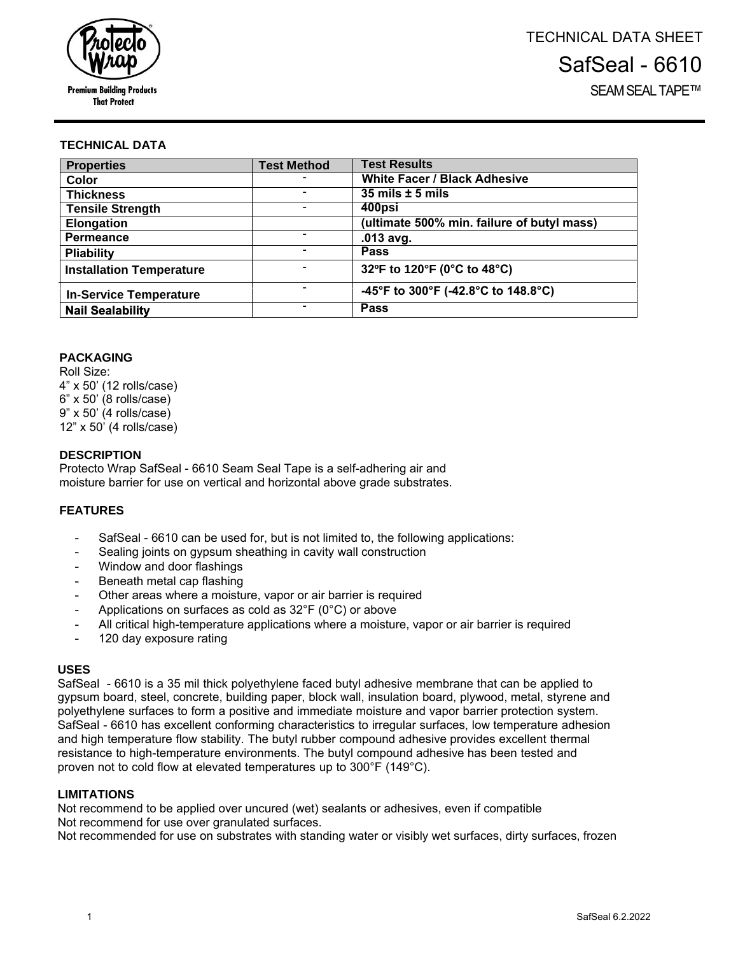

### **TECHNICAL DATA**

| <b>Properties</b>               | <b>Test Method</b> | <b>Test Results</b>                        |
|---------------------------------|--------------------|--------------------------------------------|
| Color                           |                    | <b>White Facer / Black Adhesive</b>        |
| <b>Thickness</b>                |                    | $35$ mils $\pm$ 5 mils                     |
| <b>Tensile Strength</b>         |                    | 400psi                                     |
| <b>Elongation</b>               |                    | (ultimate 500% min. failure of butyl mass) |
| <b>Permeance</b>                |                    | $.013$ avg.                                |
| <b>Pliability</b>               |                    | <b>Pass</b>                                |
| <b>Installation Temperature</b> | -                  | 32ºF to 120°F (0°C to 48°C)                |
| <b>In-Service Temperature</b>   |                    | -45°F to 300°F (-42.8°C to 148.8°C)        |
| <b>Nail Sealability</b>         |                    | <b>Pass</b>                                |

### **PACKAGING**

Roll Size: 4" x 50' (12 rolls/case) 6" x 50' (8 rolls/case) 9" x 50' (4 rolls/case) 12" x 50' (4 rolls/case)

### **DESCRIPTION**

Protecto Wrap SafSeal - 6610 Seam Seal Tape is a self-adhering air and moisture barrier for use on vertical and horizontal above grade substrates.

### **FEATURES**

- SafSeal 6610 can be used for, but is not limited to, the following applications:
- Sealing joints on gypsum sheathing in cavity wall construction
- Window and door flashings
- Beneath metal cap flashing
- Other areas where a moisture, vapor or air barrier is required
- Applications on surfaces as cold as  $32^{\circ}F$  (0°C) or above
- All critical high-temperature applications where a moisture, vapor or air barrier is required
- 120 day exposure rating

### **USES**

SafSeal - 6610 is a 35 mil thick polyethylene faced butyl adhesive membrane that can be applied to gypsum board, steel, concrete, building paper, block wall, insulation board, plywood, metal, styrene and polyethylene surfaces to form a positive and immediate moisture and vapor barrier protection system. SafSeal - 6610 has excellent conforming characteristics to irregular surfaces, low temperature adhesion and high temperature flow stability. The butyl rubber compound adhesive provides excellent thermal resistance to high-temperature environments. The butyl compound adhesive has been tested and proven not to cold flow at elevated temperatures up to 300°F (149°C).

#### **LIMITATIONS**

Not recommend to be applied over uncured (wet) sealants or adhesives, even if compatible Not recommend for use over granulated surfaces.

Not recommended for use on substrates with standing water or visibly wet surfaces, dirty surfaces, frozen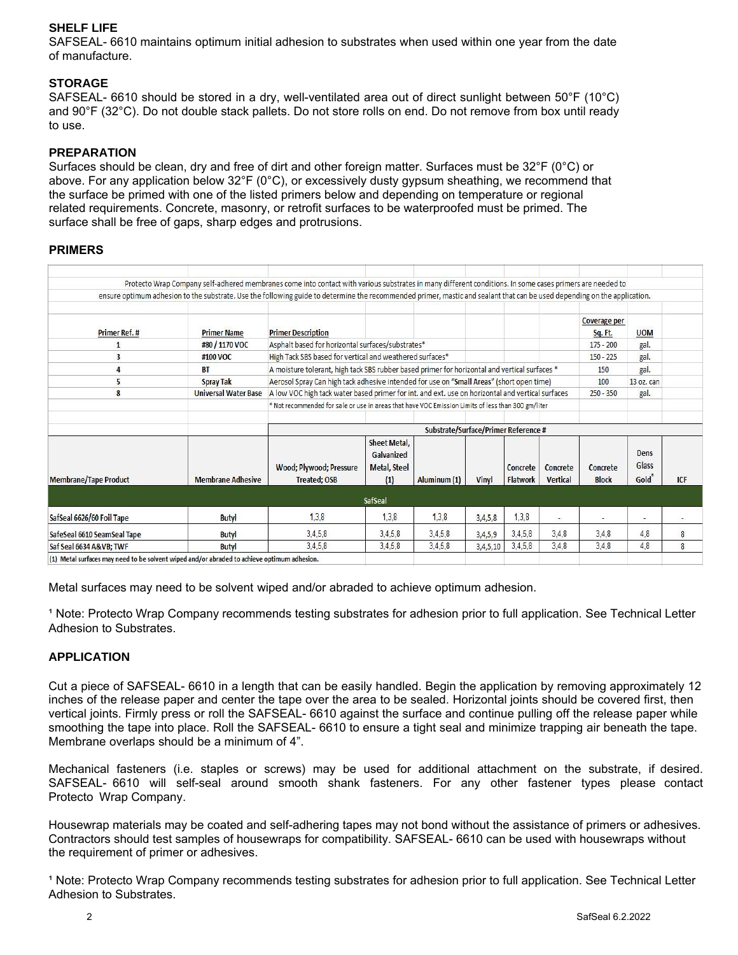# **SHELF LIFE**

SAFSEAL- 6610 maintains optimum initial adhesion to substrates when used within one year from the date of manufacture.

### **STORAGE**

SAFSEAL- 6610 should be stored in a dry, well-ventilated area out of direct sunlight between 50°F (10°C) and 90°F (32°C). Do not double stack pallets. Do not store rolls on end. Do not remove from box until ready to use.

### **PREPARATION**

Surfaces should be clean, dry and free of dirt and other foreign matter. Surfaces must be 32°F (0°C) or above. For any application below 32°F (0°C), or excessively dusty gypsum sheathing, we recommend that the surface be primed with one of the listed primers below and depending on temperature or regional related requirements. Concrete, masonry, or retrofit surfaces to be waterproofed must be primed. The surface shall be free of gaps, sharp edges and protrusions.

### **PRIMERS**

|                                                                                             |                             | Protecto Wrap Company self-adhered membranes come into contact with various substrates in many different conditions. In some cases primers are needed to                 |                                                          |              |          |                             |                      |                                |                       |                |
|---------------------------------------------------------------------------------------------|-----------------------------|--------------------------------------------------------------------------------------------------------------------------------------------------------------------------|----------------------------------------------------------|--------------|----------|-----------------------------|----------------------|--------------------------------|-----------------------|----------------|
|                                                                                             |                             | ensure optimum adhesion to the substrate. Use the following guide to determine the recommended primer, mastic and sealant that can be used depending on the application. |                                                          |              |          |                             |                      |                                |                       |                |
| Primer Ref. #                                                                               | <b>Primer Name</b>          | <b>Primer Description</b>                                                                                                                                                |                                                          |              |          |                             |                      | <b>Coverage per</b><br>Sq. Ft. | <b>UOM</b>            |                |
|                                                                                             | #80 / 1170 VOC              | Asphalt based for horizontal surfaces/substrates*                                                                                                                        |                                                          |              |          |                             |                      | $175 - 200$                    | gal.                  |                |
| 3                                                                                           | #100 VOC                    | High Tack SBS based for vertical and weathered surfaces*                                                                                                                 |                                                          |              |          |                             |                      | $150 - 225$                    | gal.                  |                |
| 4                                                                                           | <b>BT</b>                   | A moisture tolerant, high tack SBS rubber based primer for horizontal and vertical surfaces *                                                                            |                                                          |              |          |                             |                      |                                | gal.                  |                |
| 5                                                                                           | <b>Spray Tak</b>            | Aerosol Spray Can high tack adhesive intended for use on "Small Areas" (short open time)                                                                                 |                                                          |              |          |                             |                      |                                | 13 oz. can            |                |
| 8                                                                                           | <b>Universal Water Base</b> | A low VOC high tack water based primer for int. and ext. use on horizontal and vertical surfaces                                                                         |                                                          |              |          |                             |                      | $250 - 350$                    | gal.                  |                |
|                                                                                             |                             | * Not recommended for sale or use in areas that have VOC Emission Limits of less than 300 gm/liter                                                                       |                                                          |              |          |                             |                      |                                |                       |                |
|                                                                                             |                             | Substrate/Surface/Primer Reference #                                                                                                                                     |                                                          |              |          |                             |                      |                                |                       |                |
| <b>Membrane/Tape Product</b>                                                                | <b>Membrane Adhesive</b>    | Wood; Plywood; Pressure<br><b>Treated; OSB</b>                                                                                                                           | Sheet Metal,<br>Galvanized<br><b>Metal, Steel</b><br>(1) | Aluminum (1) | Vinyl    | Concrete<br><b>Flatwork</b> | Concrete<br>Vertical | Concrete<br><b>Block</b>       | Dens<br>Glass<br>Gold | <b>ICF</b>     |
|                                                                                             |                             |                                                                                                                                                                          | SafSeal                                                  |              |          |                             |                      |                                |                       |                |
| SafSeal 6626/60 Foil Tape                                                                   | <b>Butyl</b>                | 1.3.8                                                                                                                                                                    | 1,3,8                                                    | 1,3.8        | 3,4,5,8  | 1,3,8                       | ٠                    |                                | $\sim$                |                |
| SafeSeal 6610 SeamSeal Tape                                                                 | Butyl                       | 3,4,5,8                                                                                                                                                                  | 3,4,5,8                                                  | 3,4,5,8      | 3,4,5,9  | 3,4,5,8                     | 3,4,8                | 3,4,8                          | 4,8                   | 8              |
| Saf Seal 6634 A&VB TWF                                                                      | <b>Butyl</b>                | 3,4,5,8                                                                                                                                                                  | 3,4,5,8                                                  | 3.4.5.8      | 3,4,5,10 | 3,4,5,8                     | 3.4,8                | 3,4,8                          | 4,8                   | $\overline{8}$ |
| (1) Metal surfaces may need to be solvent wiped and/or abraded to achieve optimum adhesion. |                             |                                                                                                                                                                          |                                                          |              |          |                             |                      |                                |                       |                |

Metal surfaces may need to be solvent wiped and/or abraded to achieve optimum adhesion.

<sup>1</sup> Note: Protecto Wrap Company recommends testing substrates for adhesion prior to full application. See Technical Letter Adhesion to Substrates.

## **APPLICATION**

Cut a piece of SAFSEAL- 6610 in a length that can be easily handled. Begin the application by removing approximately 12 inches of the release paper and center the tape over the area to be sealed. Horizontal joints should be covered first, then vertical joints. Firmly press or roll the SAFSEAL- 6610 against the surface and continue pulling off the release paper while smoothing the tape into place. Roll the SAFSEAL- 6610 to ensure a tight seal and minimize trapping air beneath the tape. Membrane overlaps should be a minimum of 4".

Mechanical fasteners (i.e. staples or screws) may be used for additional attachment on the substrate, if desired. SAFSEAL- 6610 will self-seal around smooth shank fasteners. For any other fastener types please contact Protecto Wrap Company.

Housewrap materials may be coated and self-adhering tapes may not bond without the assistance of primers or adhesives. Contractors should test samples of housewraps for compatibility. SAFSEAL- 6610 can be used with housewraps without the requirement of primer or adhesives.

<sup>1</sup> Note: Protecto Wrap Company recommends testing substrates for adhesion prior to full application. See Technical Letter Adhesion to Substrates.